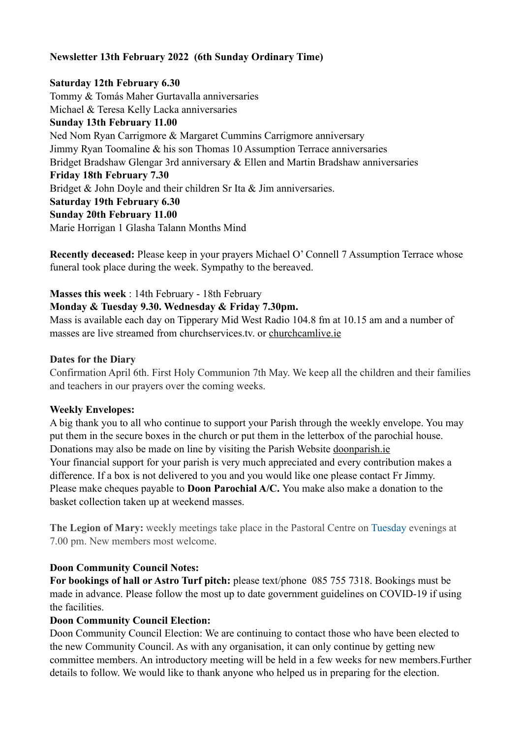### **Newsletter 13th February 2022 (6th Sunday Ordinary Time)**

# **Saturday 12th February 6.30** Tommy & Tomás Maher Gurtavalla anniversaries Michael & Teresa Kelly Lacka anniversaries **Sunday 13th February 11.00**  Ned Nom Ryan Carrigmore & Margaret Cummins Carrigmore anniversary Jimmy Ryan Toomaline & his son Thomas 10 Assumption Terrace anniversaries Bridget Bradshaw Glengar 3rd anniversary & Ellen and Martin Bradshaw anniversaries **Friday 18th February 7.30**  Bridget & John Doyle and their children Sr Ita & Jim anniversaries. **Saturday 19th February 6.30 Sunday 20th February 11.00**  Marie Horrigan 1 Glasha Talann Months Mind

**Recently deceased:** Please keep in your prayers Michael O' Connell 7 Assumption Terrace whose funeral took place during the week. Sympathy to the bereaved.

### **Masses this week** : 14th February - 18th February

### **Monday & Tuesday 9.30. Wednesday & Friday 7.30pm.**

Mass is available each day on Tipperary Mid West Radio 104.8 fm at 10.15 am and a number of masses are live streamed from churchservices.tv. or [churchcamlive.ie](http://churchcamlive.ie)

#### **Dates for the Diary**

Confirmation April 6th. First Holy Communion 7th May. We keep all the children and their families and teachers in our prayers over the coming weeks.

### **Weekly Envelopes:**

A big thank you to all who continue to support your Parish through the weekly envelope. You may put them in the secure boxes in the church or put them in the letterbox of the parochial house. Donations may also be made on line by visiting the Parish Website [doonparish.ie](http://doonparish.ie) Your financial support for your parish is very much appreciated and every contribution makes a difference. If a box is not delivered to you and you would like one please contact Fr Jimmy. Please make cheques payable to **Doon Parochial A/C.** You make also make a donation to the basket collection taken up at weekend masses.

**The Legion of Mary:** weekly meetings take place in the Pastoral Centre on Tuesday evenings at 7.00 pm. New members most welcome.

### **Doon Community Council Notes:**

**For bookings of hall or Astro Turf pitch:** please text/phone 085 755 7318. Bookings must be made in advance. Please follow the most up to date government guidelines on COVID-19 if using the facilities.

### **Doon Community Council Election:**

Doon Community Council Election: We are continuing to contact those who have been elected to the new Community Council. As with any organisation, it can only continue by getting new committee members. An introductory meeting will be held in a few weeks for new members.Further details to follow. We would like to thank anyone who helped us in preparing for the election.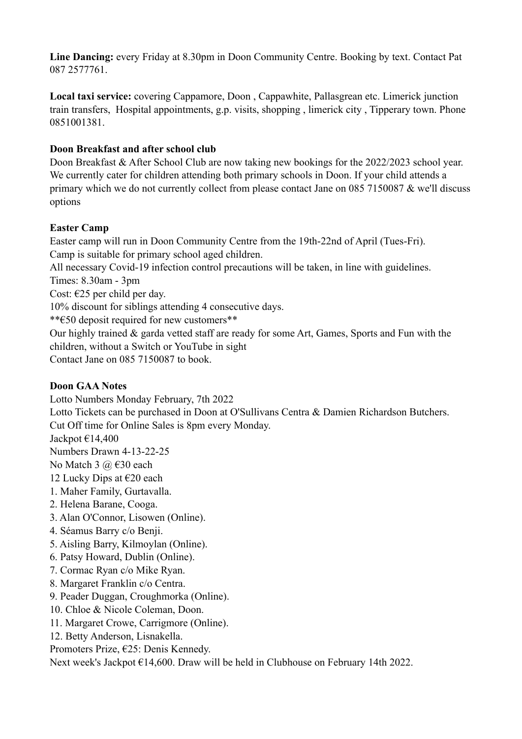**Line Dancing:** every Friday at 8.30pm in Doon Community Centre. Booking by text. Contact Pat 087 2577761.

**Local taxi service:** covering Cappamore, Doon , Cappawhite, Pallasgrean etc. Limerick junction train transfers, Hospital appointments, g.p. visits, shopping , limerick city , Tipperary town. Phone 0851001381.

# **Doon Breakfast and after school club**

Doon Breakfast & After School Club are now taking new bookings for the 2022/2023 school year. We currently cater for children attending both primary schools in Doon. If your child attends a primary which we do not currently collect from please contact Jane on 085 7150087 & we'll discuss options

# **Easter Camp**

Easter camp will run in Doon Community Centre from the 19th-22nd of April (Tues-Fri). Camp is suitable for primary school aged children. All necessary Covid-19 infection control precautions will be taken, in line with guidelines. Times: 8.30am - 3pm Cost:  $\epsilon$ 25 per child per day. 10% discount for siblings attending 4 consecutive days. \*\*€50 deposit required for new customers\*\* Our highly trained & garda vetted staff are ready for some Art, Games, Sports and Fun with the children, without a Switch or YouTube in sight

Contact Jane on 085 7150087 to book.

# **Doon GAA Notes**

Lotto Numbers Monday February, 7th 2022 Lotto Tickets can be purchased in Doon at O'Sullivans Centra & Damien Richardson Butchers. Cut Off time for Online Sales is 8pm every Monday. Jackpot €14,400 Numbers Drawn 4-13-22-25 No Match 3  $\omega$   $\in$  30 each 12 Lucky Dips at  $\epsilon$ 20 each 1. Maher Family, Gurtavalla. 2. Helena Barane, Cooga. 3. Alan O'Connor, Lisowen (Online). 4. Séamus Barry c/o Benji. 5. Aisling Barry, Kilmoylan (Online). 6. Patsy Howard, Dublin (Online). 7. Cormac Ryan c/o Mike Ryan. 8. Margaret Franklin c/o Centra. 9. Peader Duggan, Croughmorka (Online). 10. Chloe & Nicole Coleman, Doon.

- 11. Margaret Crowe, Carrigmore (Online).
- 12. Betty Anderson, Lisnakella.

Promoters Prize, €25: Denis Kennedy.

Next week's Jackpot €14,600. Draw will be held in Clubhouse on February 14th 2022.